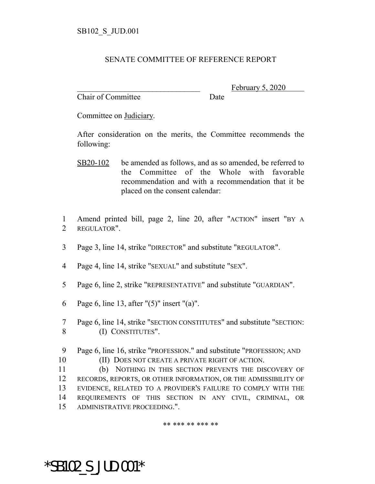## SENATE COMMITTEE OF REFERENCE REPORT

Chair of Committee Date

February 5, 2020

Committee on Judiciary.

After consideration on the merits, the Committee recommends the following:

- SB20-102 be amended as follows, and as so amended, be referred to the Committee of the Whole with favorable recommendation and with a recommendation that it be placed on the consent calendar:
- 1 Amend printed bill, page 2, line 20, after "ACTION" insert "BY A 2 REGULATOR".
- 3 Page 3, line 14, strike "DIRECTOR" and substitute "REGULATOR".
- 4 Page 4, line 14, strike "SEXUAL" and substitute "SEX".
- 5 Page 6, line 2, strike "REPRESENTATIVE" and substitute "GUARDIAN".
- 6 Page 6, line 13, after "(5)" insert "(a)".
- 7 Page 6, line 14, strike "SECTION CONSTITUTES" and substitute "SECTION: 8 (I) CONSTITUTES".
- 9 Page 6, line 16, strike "PROFESSION." and substitute "PROFESSION; AND
- 10 (II) DOES NOT CREATE A PRIVATE RIGHT OF ACTION.

 (b) NOTHING IN THIS SECTION PREVENTS THE DISCOVERY OF RECORDS, REPORTS, OR OTHER INFORMATION, OR THE ADMISSIBILITY OF EVIDENCE, RELATED TO A PROVIDER'S FAILURE TO COMPLY WITH THE REQUIREMENTS OF THIS SECTION IN ANY CIVIL, CRIMINAL, OR ADMINISTRATIVE PROCEEDING.".

\*\* \*\*\* \*\* \*\*\* \*\*

\*SB102\_S\_JUD.001\*